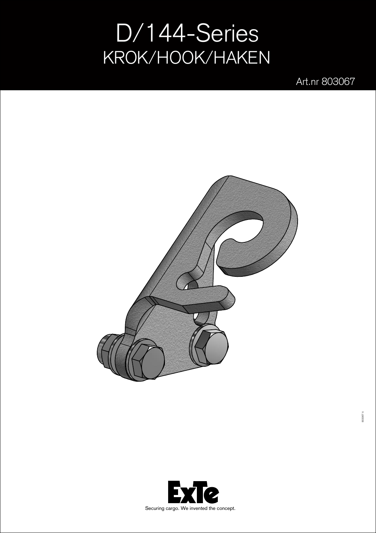## D/144-Series KROK/HOOK/HAKEN

Art.nr 803067



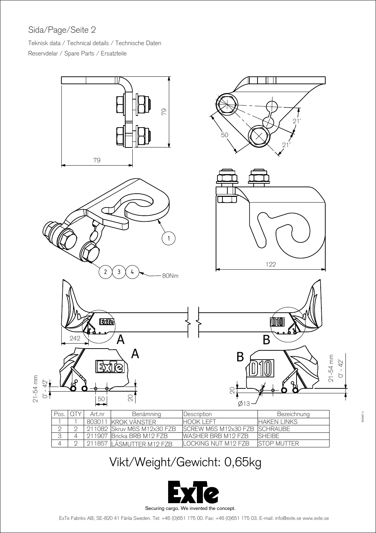## Sida/Page/Seite 2

Teknisk data / Technical details / Technische Daten Reservdelar / Spare Parts / Ersatzteile



## Vikt/Weight/Gewicht: 0,65kg



ExTe Fabriks AB, SE-820 41 Flrila Sweden. Tel: +46 (0)651 175 00. Fax: +46 (0)651 175 03. E-mail: info@exte.se www.exte.se